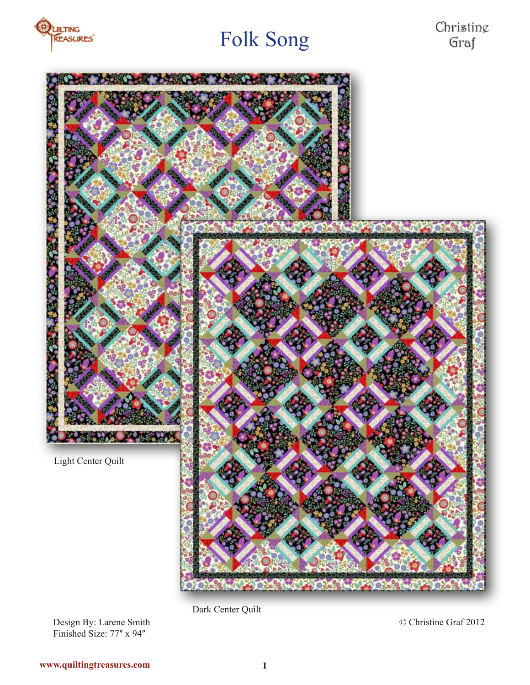



Dark Center Quilt

© Christine Graf 2012

Design By: Larene Smith Finished Size: 77" x 94"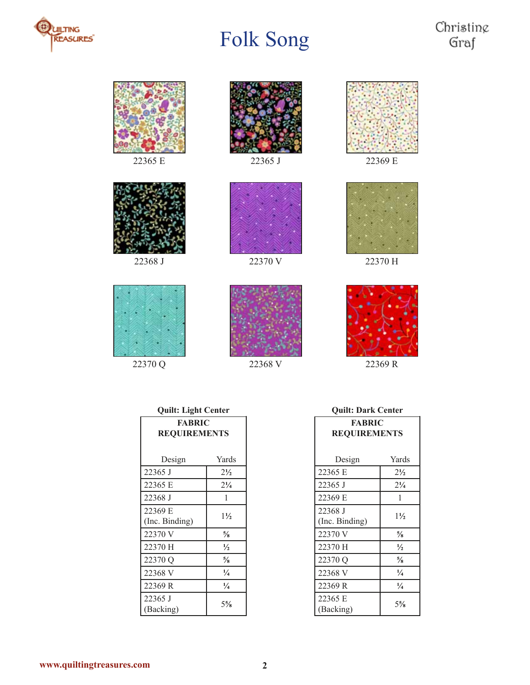







22370 Q 22368 V 22369 R







#### **Quilt: Light Center**

| <b>FABRIC</b><br><b>REQUIREMENTS</b> |                |
|--------------------------------------|----------------|
|                                      |                |
| Design                               | Yards          |
| 22365 J                              | $2\frac{1}{2}$ |
| 22365 E                              | $2^{1/4}$      |
| 22368 J                              | 1              |
| 22369 E<br>(Inc. Binding)            | $1\frac{1}{2}$ |
| 22370 V                              | $\frac{5}{8}$  |
| 22370 H                              | $\frac{1}{2}$  |
| 22370 Q                              | $\frac{5}{8}$  |
| 22368 V                              | $\frac{1}{4}$  |
| 22369 R                              | $\frac{1}{4}$  |
| 22365 J<br>(Backing)                 | $5\frac{5}{8}$ |

**Quilt: Dark Center**

| <b>FABRIC</b><br><b>REQUIREMENTS</b> |                |  |
|--------------------------------------|----------------|--|
| Design                               | Yards          |  |
| 22365 E                              | $2\frac{1}{2}$ |  |
| 22365 J                              | $2\frac{1}{4}$ |  |
| 22369 E                              | 1              |  |
| 22368 J<br>(Inc. Binding)            | $1\frac{1}{2}$ |  |
| 22370 V                              | $\frac{5}{8}$  |  |
| 22370 H                              | $\frac{1}{2}$  |  |
| 22370 Q                              | $\frac{5}{8}$  |  |
| 22368 V                              | $\frac{1}{4}$  |  |
| 22369 R                              | $\frac{1}{4}$  |  |
| 22365 E<br>(Backing)                 | 5%             |  |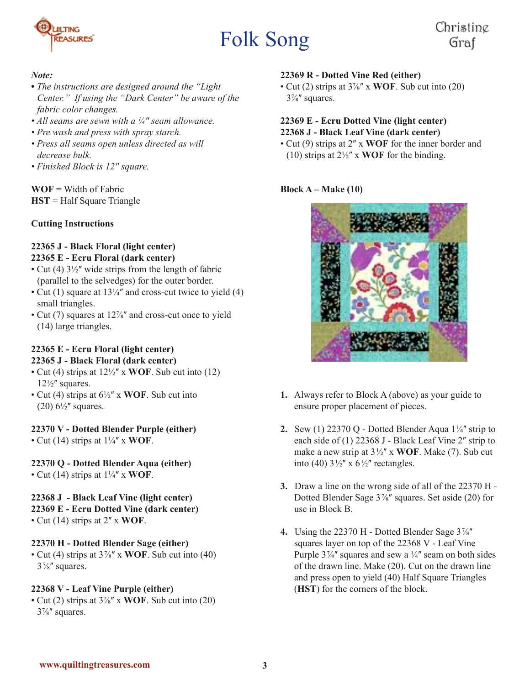



#### *Note:*

- *The instructions are designed around the "Light Center." If using the "Dark Center" be aware of the fabric color changes.*
- All seams are sewn with a  $\frac{1}{4}$ " seam allowance.
- *Pre wash and press with spray starch.*
- *Press all seams open unless directed as will decrease bulk.*
- *Finished Block is 12ʺ square.*

**WOF** = Width of Fabric **HST** = Half Square Triangle

#### **Cutting Instructions**

#### **22365 J - Black Floral (light center) 22365 E - Ecru Floral (dark center)**

- Cut (4)  $3\frac{1}{2}$ " wide strips from the length of fabric (parallel to the selvedges) for the outer border.
- Cut (1) square at  $13\frac{1}{4}$  and cross-cut twice to yield (4) small triangles.
- Cut (7) squares at 12%" and cross-cut once to yield (14) large triangles.

#### **22365 E - Ecru Floral (light center) 22365 J - Black Floral (dark center)**

- Cut (4) strips at  $12\frac{1}{2}$  x **WOF**. Sub cut into (12)  $12\frac{1}{2}$  squares.
- Cut (4) strips at  $6\frac{1}{2}$ <sup>"</sup> x **WOF**. Sub cut into  $(20)$  6<sup>1</sup>/<sub>2</sub>" squares.

#### **22370 V - Dotted Blender Purple (either)**

• Cut (14) strips at  $1\frac{1}{4}$ <sup>"</sup> x **WOF**.

#### **22370 Q - Dotted Blender Aqua (either)**

• Cut (14) strips at  $1\frac{1}{4}$ <sup>*''*</sup> x **WOF**.

#### **22368 J - Black Leaf Vine (light center)**

- **22369 E Ecru Dotted Vine (dark center)**
- Cut (14) strips at 2ʺ x **WOF**.

#### **22370 H - Dotted Blender Sage (either)**

• Cut (4) strips at 3⅞ʺ x **WOF**. Sub cut into (40) 3⅞ʺ squares.

#### **22368 V - Leaf Vine Purple (either)**

• Cut (2) strips at 3⅞ʺ x **WOF**. Sub cut into (20) 3⅞ʺ squares.

#### **22369 R - Dotted Vine Red (either)**

• Cut (2) strips at 3⅞ʺ x **WOF**. Sub cut into (20) 3⅞ʺ squares.

#### **22369 E - Ecru Dotted Vine (light center) 22368 J - Black Leaf Vine (dark center)**

• Cut (9) strips at 2<sup>*n*</sup> x **WOF** for the inner border and (10) strips at  $2\frac{1}{2}$ <sup>"</sup> x **WOF** for the binding.

#### **Block A – Make (10)**



- **1.** Always refer to Block A (above) as your guide to ensure proper placement of pieces.
- **2.** Sew (1) 22370 Q Dotted Blender Aqua  $1\frac{1}{4}$  strip to each side of  $(1)$  22368 J - Black Leaf Vine 2" strip to make a new strip at  $3\frac{1}{2}$  x **WOF**. Make (7). Sub cut into (40)  $3\frac{1}{2}$ " x  $6\frac{1}{2}$ " rectangles.
- **3.** Draw a line on the wrong side of all of the 22370 H Dotted Blender Sage  $3\frac{7}{8}$ " squares. Set aside (20) for use in Block B.
- **4.** Using the 22370 H Dotted Blender Sage  $3\frac{7}{8}$ squares layer on top of the 22368 V - Leaf Vine Purple  $3\frac{7}{8}$ " squares and sew a  $\frac{1}{4}$ " seam on both sides of the drawn line. Make (20). Cut on the drawn line and press open to yield (40) Half Square Triangles (**HST**) for the corners of the block.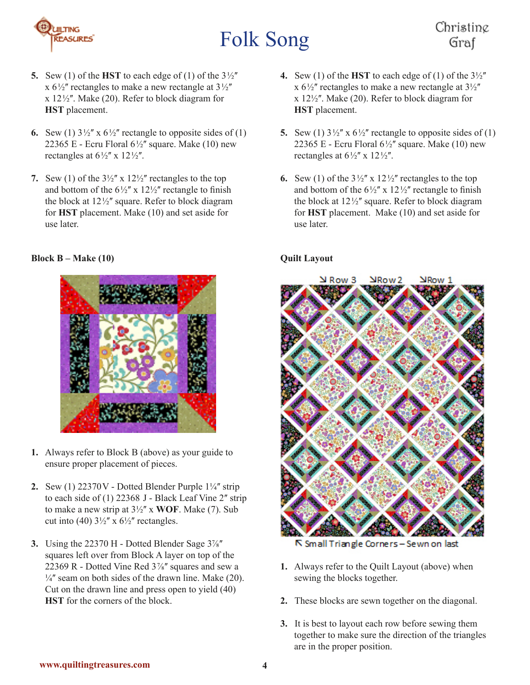

### Christing Graf

- **5.** Sew (1) of the **HST** to each edge of (1) of the  $3\frac{1}{2}$ x  $6\frac{1}{2}$ " rectangles to make a new rectangle at  $3\frac{1}{2}$ "  $x 12\frac{1}{2}$ . Make (20). Refer to block diagram for **HST** placement.
- **6.** Sew (1)  $3\frac{1}{2}$  x  $6\frac{1}{2}$  rectangle to opposite sides of (1) 22365 E - Ecru Floral  $6\frac{1}{2}$ " square. Make (10) new rectangles at  $6\frac{1}{2}$ " x  $12\frac{1}{2}$ ".
- **7.** Sew (1) of the  $3\frac{1}{2}$ " x  $12\frac{1}{2}$ " rectangles to the top and bottom of the  $6\frac{1}{2}$  x  $12\frac{1}{2}$  rectangle to finish the block at  $12\frac{1}{2}$  square. Refer to block diagram for **HST** placement. Make (10) and set aside for use later.

#### **Block B – Make (10)**



- **1.** Always refer to Block B (above) as your guide to ensure proper placement of pieces.
- **2.** Sew (1)  $22370V$  Dotted Blender Purple  $1\frac{1}{4}$  strip to each side of (1) 22368 J - Black Leaf Vine 2" strip to make a new strip at  $3\frac{1}{2}$ " x **WOF**. Make (7). Sub cut into (40)  $3\frac{1}{2}$ " x  $6\frac{1}{2}$ " rectangles.
- **3.** Using the 22370 H Dotted Blender Sage  $3\frac{1}{8}$ squares left over from Block A layer on top of the 22369 R - Dotted Vine Red  $3\frac{7}{8}$ " squares and sew a  $\frac{1}{4}$  seam on both sides of the drawn line. Make (20). Cut on the drawn line and press open to yield (40) **HST** for the corners of the block.
- **4.** Sew (1) of the **HST** to each edge of (1) of the  $3\frac{1}{2}$ x  $6\frac{1}{2}$ " rectangles to make a new rectangle at  $3\frac{1}{2}$ "  $x 12\frac{1}{2}$ . Make (20). Refer to block diagram for **HST** placement.
- **5.** Sew (1)  $3\frac{1}{2}$  x  $6\frac{1}{2}$  rectangle to opposite sides of (1) 22365 E - Ecru Floral  $6\frac{1}{2}$ " square. Make (10) new rectangles at  $6\frac{1}{2}$ " x  $12\frac{1}{2}$ ".
- **6.** Sew (1) of the  $3\frac{1}{2}$ " x  $12\frac{1}{2}$ " rectangles to the top and bottom of the  $6\frac{1}{2}$  x  $12\frac{1}{2}$  rectangle to finish the block at  $12\frac{1}{2}$ " square. Refer to block diagram for **HST** placement. Make (10) and set aside for use later.

#### **Quilt Layout**



N Small Triangle Corners - Sewn on last

- **1.** Always refer to the Quilt Layout (above) when sewing the blocks together.
- **2.** These blocks are sewn together on the diagonal.
- **3.** It is best to layout each row before sewing them together to make sure the direction of the triangles are in the proper position.